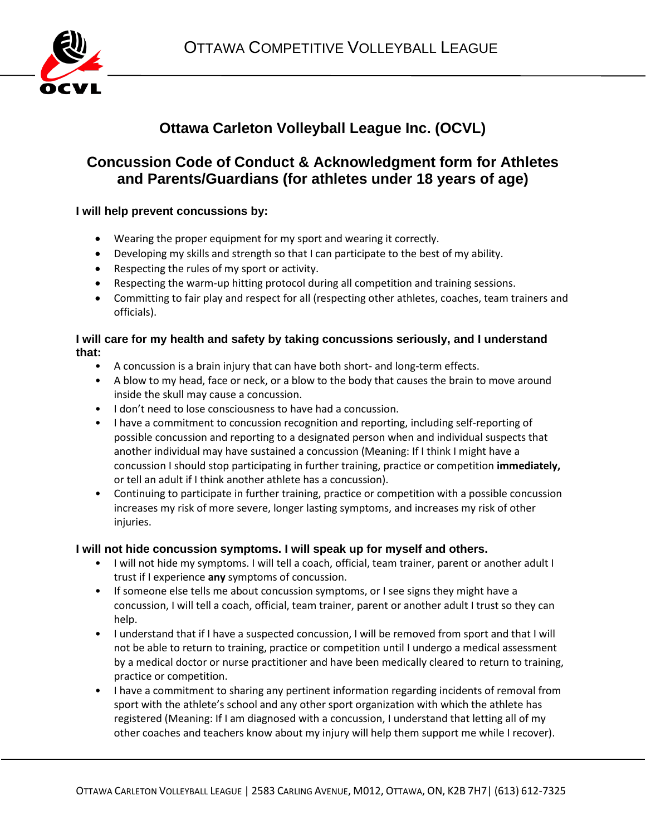

# **Ottawa Carleton Volleyball League Inc. (OCVL)**

## **Concussion Code of Conduct & Acknowledgment form for Athletes and Parents/Guardians (for athletes under 18 years of age)**

### **I will help prevent concussions by:**

- Wearing the proper equipment for my sport and wearing it correctly.
- Developing my skills and strength so that I can participate to the best of my ability.
- Respecting the rules of my sport or activity.
- Respecting the warm-up hitting protocol during all competition and training sessions.
- Committing to fair play and respect for all (respecting other athletes, coaches, team trainers and officials).

#### **I will care for my health and safety by taking concussions seriously, and I understand that:**

- A concussion is a brain injury that can have both short- and long-term effects.
- A blow to my head, face or neck, or a blow to the body that causes the brain to move around inside the skull may cause a concussion.
- I don't need to lose consciousness to have had a concussion.
- I have a commitment to concussion recognition and reporting, including self-reporting of possible concussion and reporting to a designated person when and individual suspects that another individual may have sustained a concussion (Meaning: If I think I might have a concussion I should stop participating in further training, practice or competition **immediately,**  or tell an adult if I think another athlete has a concussion).
- Continuing to participate in further training, practice or competition with a possible concussion increases my risk of more severe, longer lasting symptoms, and increases my risk of other injuries.

#### **I will not hide concussion symptoms. I will speak up for myself and others.**

- I will not hide my symptoms. I will tell a coach, official, team trainer, parent or another adult I trust if I experience **any** symptoms of concussion.
- If someone else tells me about concussion symptoms, or I see signs they might have a concussion, I will tell a coach, official, team trainer, parent or another adult I trust so they can help.
- I understand that if I have a suspected concussion, I will be removed from sport and that I will not be able to return to training, practice or competition until I undergo a medical assessment by a medical doctor or nurse practitioner and have been medically cleared to return to training, practice or competition.
- I have a commitment to sharing any pertinent information regarding incidents of removal from sport with the athlete's school and any other sport organization with which the athlete has registered (Meaning: If I am diagnosed with a concussion, I understand that letting all of my other coaches and teachers know about my injury will help them support me while I recover).